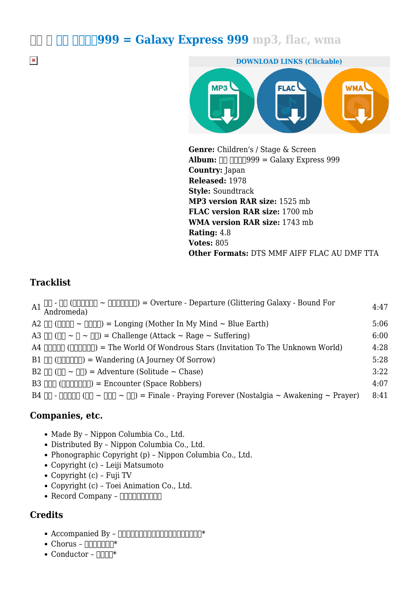$\Box$   $\Box$   $\Box$   $\Box$   $\Box$   $\Box$   $\Box$  999 = Galaxy Express 999 mp3, flac, wma



**Genre:** Children's / Stage & Screen Album:  $\Box$   $\Box$   $\Box$  999 = Galaxy Express 999 **Country:** Japan **Released:** 1978 **Style:** Soundtrack **MP3 version RAR size:** 1525 mb **FLAC version RAR size:** 1700 mb **WMA version RAR size:** 1743 mb **Rating:** 4.8 **Votes:** 805 **Other Formats:** DTS MMF AIFF FLAC AU DMF TTA

## **Tracklist**

 $\pmb{\times}$ 

| A1 $\hfill\Box$ - $\Box\Box$ ( $\Box\Box\Box\Box\Box$ ) = Overture - Departure (Glittering Galaxy - Bound For Andromeda) | 4:47 |
|--------------------------------------------------------------------------------------------------------------------------|------|
| A2 $\Box$ ( $\Box$ $\Box$ $\Box$ $\Box$ ) = Longing (Mother In My Mind $\sim$ Blue Earth)                                | 5:06 |
| A3 $\Box$ ( $\Box$ ~ $\Box$ ~ $\Box$ ) = Challenge (Attack ~ Rage ~ Suffering)                                           | 6:00 |
| A4 $\Box \Box \Box \Box \Box$ ( $\Box \Box \Box \Box$ ) = The World Of Wondrous Stars (Invitation To The Unknown World)  | 4:28 |
| $B1$ $\Box$ ( $\Box$ $\Box$ $\Box$ ) = Wandering (A Journey Of Sorrow)                                                   | 5:28 |
| B2 $\Box$ ( $\Box$ $\sim$ $\Box$ ) = Adventure (Solitude $\sim$ Chase)                                                   | 3:22 |
| B3 $\Box$ ( $\Box$ $\Box$ $\Box$ $\Box$ $\Box$ ) = Encounter (Space Robbers)                                             | 4:07 |
|                                                                                                                          | 8:41 |

#### **Companies, etc.**

- Made By Nippon Columbia Co., Ltd.
- Distributed By Nippon Columbia Co., Ltd.
- Phonographic Copyright (p) Nippon Columbia Co., Ltd.
- Copyright (c) Leiji Matsumoto
- Copyright (c) Fuji TV
- Copyright (c) Toei Animation Co., Ltd.
- $\bullet$  Record Company  $\Box$

## **Credits**

- $\bullet$  Accompanied By 0000000000000000000001\*
- $\bullet$  Chorus  $\Box$  $\Box$  $\Box$  $\Box$  $\Box^*$
- Conductor  $\Box\Box\Box^*$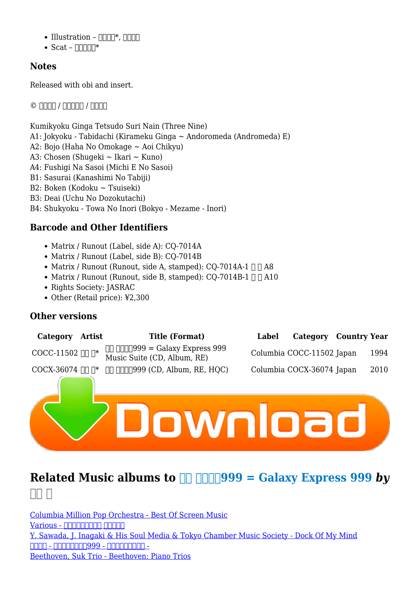- $\bullet$  Illustration  $\Pi\Pi\mathbb{T}^*$ ,  $\Pi\Pi\Pi$
- $\bullet$  Scat  $\Box$

## **Notes**

Released with obi and insert.

 $\circ$  0000 / 0000 / 0000

Kumikyoku Ginga Tetsudo Suri Nain (Three Nine) A1: Jokyoku - Tabidachi (Kirameku Ginga ~ Andoromeda (Andromeda) E) A2: Bojo (Haha No Omokage ~ Aoi Chikyu) A3: Chosen (Shugeki ~ Ikari ~ Kuno) A4: Fushigi Na Sasoi (Michi E No Sasoi) B1: Sasurai (Kanashimi No Tabiji) B2: Boken (Kodoku ~ Tsuiseki) B3: Deai (Uchu No Dozokutachi) B4: Shukyoku - Towa No Inori (Bokyo - Mezame - Inori)

# **Barcode and Other Identifiers**

- Matrix / Runout (Label, side A): CO-7014A
- Matrix / Runout (Label, side B): CO-7014B
- Matrix / Runout (Runout, side A, stamped):  $CO-7014A-1 \Box \Box A8$
- Matrix / Runout (Runout, side B, stamped): CQ-7014B-1  $\Box$   $\Box$  A10
- Rights Society: JASRAC
- Other (Retail price): ¥2,300

#### **Other versions**

| Category                   | <b>Artist</b> | <b>Title (Format)</b>                                                               | Label | Category Country Year     |      |
|----------------------------|---------------|-------------------------------------------------------------------------------------|-------|---------------------------|------|
| COCC-11502 Ⅲ 『             |               | $\Box$ $\Box$ $\Box$ $\Box$ 999 = Galaxy Express 999<br>Music Suite (CD, Album, RE) |       | Columbia COCC-11502 Japan | 1994 |
| COCX-36074 $\Box$ $\Box^*$ |               | $\Box$ $\Box$ $\Box$ $\Box$ 999 (CD, Album, RE, HQC)                                |       | Columbia COCX-36074 Japan | 2010 |
|                            |               |                                                                                     |       |                           |      |

# **Related Music albums to**  $\Box$  $\Box$  $\Box$  **999 = Galaxy Express 999** *by*  $\Pi\Pi$   $\Pi$

[Columbia Million Pop Orchestra - Best Of Screen Music](https://high-mp3.com/jazz/363791-columbia-million-pop-orchestra-best-of-screen-music.pdf) Various - חחחחחחחח חחחח [Y. Sawada, J. Inagaki & His Soul Media & Tokyo Chamber Music Society - Dock Of My Mind](https://high-mp3.com/jazz/240034-y-sawada-j-inagakihis-soul-mediatokyo-chamber-music-society-dock-of-my-mind.pdf) **- החחחחחחח - 1099 - החחח** - החחח [Beethoven, Suk Trio - Beethoven: Piano Trios](https://high-mp3.com/classical/208275-beethoven-suk-trio-beethoven-piano-trios.pdf)